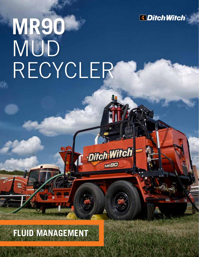

## **MR90** MUD RECYCLER

d - Ditch Witch

**MR90** 

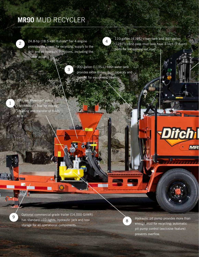## **MR90** MUD RECYCLER



1

9

24.8-hp (18.5-kW) Kubota® Tier 4 engine provides the power for recycling, supply to the drill and all hydraulic functions, including the shaker action.

3



110-gallon (416-L) clean tank and 340-gallon (1287-L) first-pass mud tank have 3-inch (7.6-cm) ports for vacuuming out mud.

300-gallon (1135-L) fresh water tank provides extra drilling fluid capacity and support for equipment cleanup.

Efficient Flowmax® pump controls fluid flow for mixing, cleaning and transfer of fluids to drill.

> Optional commercial-grade trailer (14,000 GVWR) has standard LED lights, hydraulic jack and tool storage for all operational components.

8

Hydraulic pit pump provides more than enough mud for recycling; automatic pit pump control (exclusive feature) prevents overflow.

MR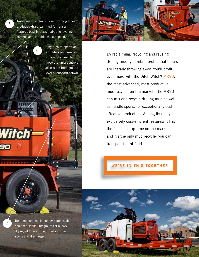Two-screen system plus six hydrocyclones produce extra-clean mud for reuse; features best-in-class hydraulic leveling screens and variable shaker speed.

6



Single-point operation simplifies performance without the need to move the unit; controls accessible from ground level or onboard catwalk.

By reclaiming, recycling and reusing drilling mud, you retain profits that others are literally throwing away. You'll profit even more with the Ditch Witch® MR90, the most advanced, most productive mud recycler on the market. The MR90 can mix and recycle drilling mud as well as handle spoils, for exceptionally costeffective production. Among its many exclusively cost-efficient features: It has the fastest setup time on the market and it's the only mud recycler you can transport full of fluid.

**WE'RE IN THIS TOGETHER.** 

Rear onboard spoils hopper catches all screened spoils; integral mixer allows drying additives to be mixed into the spoils and discharged.

7

5